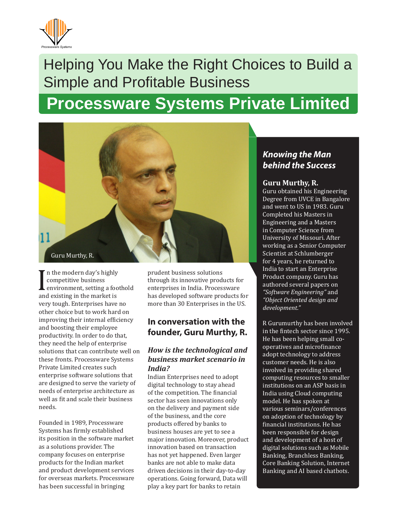

# Helping You Make the Right Choices to Build a Simple and Profitable Business

# **Processware Systems Private Limited**



I competitive business<br>
environment, setting a foo<br>
and existing in the market is If n the modern day's highly competitive business environment, setting a foothold very tough. Enterprises have no other choice but to work hard on improving their internal efficiency and boosting their employee productivity. In order to do that, they need the help of enterprise solutions that can contribute well on these fronts. Processware Systems Private Limited creates such enterprise software solutions that are designed to serve the variety of needs of enterprise architecture as well as fit and scale their business needs.

Founded in 1989, Processware Systems has firmly established its position in the software market as a solutions provider. The company focuses on enterprise products for the Indian market and product development services for overseas markets. Processware has been successful in bringing

prudent business solutions through its innovative products for enterprises in India. Processware has developed software products for more than 30 Enterprises in the US.

# **In conversation with the founder, Guru Murthy, R.**

#### *How is the technological and business market scenario in India?*

Indian Enterprises need to adopt digital technology to stay ahead of the competition. The financial sector has seen innovations only on the delivery and payment side of the business, and the core products offered by banks to business houses are yet to see a major innovation. Moreover, product innovation based on transaction has not yet happened. Even larger banks are not able to make data driven decisions in their day-to-day operations. Going forward, Data will play a key part for banks to retain

# *Knowing the Man behind the Success*

#### **Guru Murthy, R.**

Guru obtained his Engineering Degree from UVCE in Bangalore and went to US in 1983. Guru Completed his Masters in Engineering and a Masters in Computer Science from University of Missouri. After working as a Senior Computer Scientist at Schlumberger for 4 years, he returned to India to start an Enterprise Product company. Guru has authored several papers on *"Software Engineering"* and *"Object Oriented design and development."*

R Gurumurthy has been involved in the fintech sector since 1995. He has been helping small cooperatives and microfinance adopt technology to address customer needs. He is also involved in providing shared computing resources to smaller institutions on an ASP basis in India using Cloud computing model. He has spoken at various seminars/conferences on adoption of technology by financial institutions. He has been responsible for design and development of a host of digital solutions such as Mobile Banking, Branchless Banking, Core Banking Solution, Internet Banking and AI based chatbots.